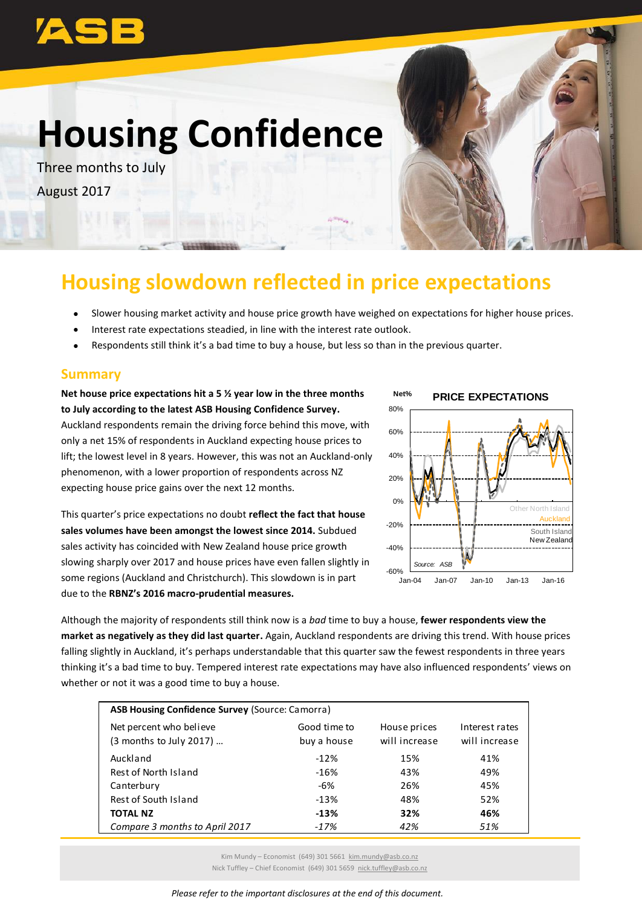

# **Housing Confidence**

Three months to July August 2017



## **Housing slowdown reflected in price expectations**

- Slower housing market activity and house price growth have weighed on expectations for higher house prices.
- Interest rate expectations steadied, in line with the interest rate outlook.
- Respondents still think it's a bad time to buy a house, but less so than in the previous quarter.

#### **Summary**

**Net house price expectations hit a 5 ½ year low in the three months to July according to the latest ASB Housing Confidence Survey.** Auckland respondents remain the driving force behind this move, with only a net 15% of respondents in Auckland expecting house prices to lift; the lowest level in 8 years. However, this was not an Auckland-only phenomenon, with a lower proportion of respondents across NZ expecting house price gains over the next 12 months.

This quarter's price expectations no doubt **reflect the fact that house sales volumes have been amongst the lowest since 2014.** Subdued sales activity has coincided with New Zealand house price growth slowing sharply over 2017 and house prices have even fallen slightly in some regions (Auckland and Christchurch). This slowdown is in part due to the **RBNZ's 2016 macro-prudential measures.**



Although the majority of respondents still think now is a *bad* time to buy a house, **fewer respondents view the market as negatively as they did last quarter.** Again, Auckland respondents are driving this trend. With house prices falling slightly in Auckland, it's perhaps understandable that this quarter saw the fewest respondents in three years thinking it's a bad time to buy. Tempered interest rate expectations may have also influenced respondents' views on whether or not it was a good time to buy a house.

| <b>ASB Housing Confidence Survey (Source: Camorra)</b> |                             |                               |                                 |  |
|--------------------------------------------------------|-----------------------------|-------------------------------|---------------------------------|--|
| Net percent who believe<br>(3 months to July 2017)     | Good time to<br>buy a house | House prices<br>will increase | Interest rates<br>will increase |  |
| Auckland                                               | $-12%$                      | 15%                           | 41%                             |  |
| Rest of North Island                                   | $-16%$                      | 43%                           | 49%                             |  |
| Canterbury                                             | -6%                         | 26%                           | 45%                             |  |
| Rest of South Island                                   | $-13%$                      | 48%                           | 52%                             |  |
| <b>TOTAL NZ</b>                                        | $-13%$                      | 32%                           | 46%                             |  |
| Compare 3 months to April 2017                         | $-17%$                      | 42%                           | 51%                             |  |

Kim Mundy – Economist (649) 301 5661 [kim.mundy@asb.co.nz](mailto:kim.mundy@asb.co.nz) Nick Tuffley – Chief Economist (649) 301 5659 [nick.tuffley@asb.co.nz](mailto:nick.tuffley@asb.co.nz)

*Please refer to the important disclosures at the end of this document.*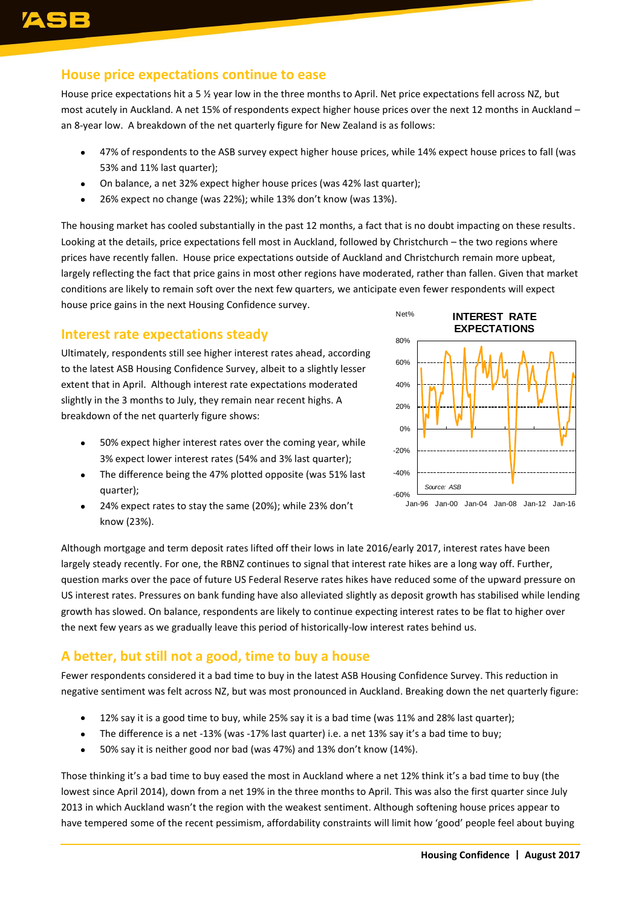#### **House price expectations continue to ease**

House price expectations hit a 5 % year low in the three months to April. Net price expectations fell across NZ, but most acutely in Auckland. A net 15% of respondents expect higher house prices over the next 12 months in Auckland – an 8-year low. A breakdown of the net quarterly figure for New Zealand is as follows:

- 47% of respondents to the ASB survey expect higher house prices, while 14% expect house prices to fall (was 53% and 11% last quarter);
- On balance, a net 32% expect higher house prices (was 42% last quarter);
- 26% expect no change (was 22%); while 13% don't know (was 13%).

The housing market has cooled substantially in the past 12 months, a fact that is no doubt impacting on these results. Looking at the details, price expectations fell most in Auckland, followed by Christchurch – the two regions where prices have recently fallen. House price expectations outside of Auckland and Christchurch remain more upbeat, largely reflecting the fact that price gains in most other regions have moderated, rather than fallen. Given that market conditions are likely to remain soft over the next few quarters, we anticipate even fewer respondents will expect house price gains in the next Housing Confidence survey.

#### **Interest rate expectations steady**

Ultimately, respondents still see higher interest rates ahead, according to the latest ASB Housing Confidence Survey, albeit to a slightly lesser extent that in April. Although interest rate expectations moderated slightly in the 3 months to July, they remain near recent highs. A breakdown of the net quarterly figure shows:

- 50% expect higher interest rates over the coming year, while 3% expect lower interest rates (54% and 3% last quarter);
- The difference being the 47% plotted opposite (was 51% last quarter);
- 24% expect rates to stay the same (20%); while 23% don't know (23%).



Although mortgage and term deposit rates lifted off their lows in late 2016/early 2017, interest rates have been largely steady recently. For one, the RBNZ continues to signal that interest rate hikes are a long way off. Further, question marks over the pace of future US Federal Reserve rates hikes have reduced some of the upward pressure on US interest rates. Pressures on bank funding have also alleviated slightly as deposit growth has stabilised while lending growth has slowed. On balance, respondents are likely to continue expecting interest rates to be flat to higher over the next few years as we gradually leave this period of historically-low interest rates behind us.

### **A better, but still not a good, time to buy a house**

Fewer respondents considered it a bad time to buy in the latest ASB Housing Confidence Survey. This reduction in negative sentiment was felt across NZ, but was most pronounced in Auckland. Breaking down the net quarterly figure:

- 12% say it is a good time to buy, while 25% say it is a bad time (was 11% and 28% last quarter);
- The difference is a net -13% (was -17% last quarter) i.e. a net 13% say it's a bad time to buy;
- 50% say it is neither good nor bad (was 47%) and 13% don't know (14%).

Those thinking it's a bad time to buy eased the most in Auckland where a net 12% think it's a bad time to buy (the lowest since April 2014), down from a net 19% in the three months to April. This was also the first quarter since July 2013 in which Auckland wasn't the region with the weakest sentiment. Although softening house prices appear to have tempered some of the recent pessimism, affordability constraints will limit how 'good' people feel about buying